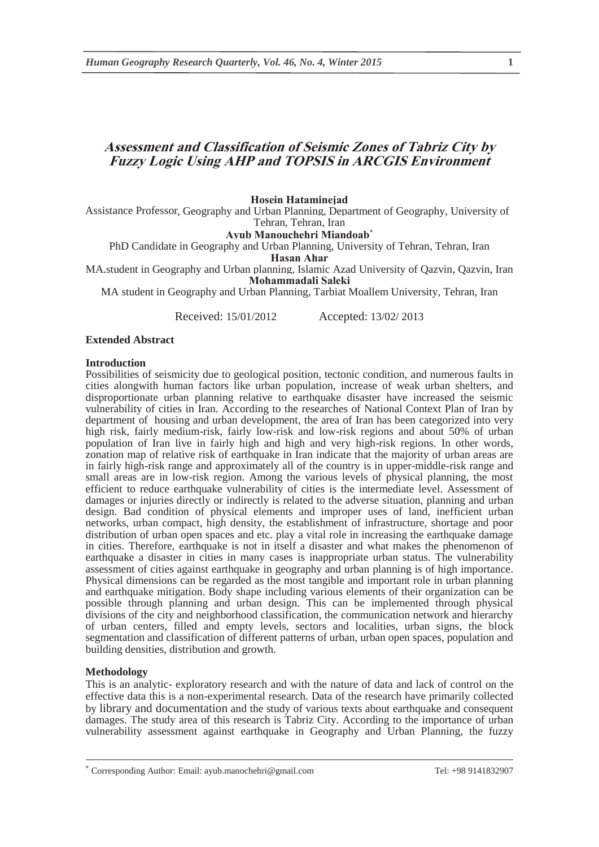# **Assessment and Classification of Seismic Zones of Tabriz City by Fuzzy Logic Using AHP and TOPSIS in ARCGIS Environment**

**Hosein Hataminejad** 

Assistance Professor, Geography and Urban Planning, Department of Geography, University of Tehran, Tehran, Iran

**Ayub Manouchehri Miandoab**

PhD Candidate in Geography and Urban Planning, University of Tehran, Tehran, Iran

**Hasan Ahar** 

MA.student in Geography and Urban planning, Islamic Azad University of Qazvin, Qazvin, Iran **Mohammadali Saleki** 

MA student in Geography and Urban Planning, Tarbiat Moallem University, Tehran, Iran

Received: 15/01/2012 Accepted: 13/02/ 2013

#### **Extended Abstract**

#### **Introduction**

Possibilities of seismicity due to geological position, tectonic condition, and numerous faults in cities alongwith human factors like urban population, increase of weak urban shelters, and disproportionate urban planning relative to earthquake disaster have increased the seismic vulnerability of cities in Iran. According to the researches of National Context Plan of Iran by department of housing and urban development, the area of Iran has been categorized into very high risk, fairly medium-risk, fairly low-risk and low-risk regions and about 50% of urban population of Iran live in fairly high and high and very high-risk regions. In other words, zonation map of relative risk of earthquake in Iran indicate that the majority of urban areas are in fairly high-risk range and approximately all of the country is in upper-middle-risk range and small areas are in low-risk region. Among the various levels of physical planning, the most efficient to reduce earthquake vulnerability of cities is the intermediate level. Assessment of damages or injuries directly or indirectly is related to the adverse situation, planning and urban design. Bad condition of physical elements and improper uses of land, inefficient urban networks, urban compact, high density, the establishment of infrastructure, shortage and poor distribution of urban open spaces and etc. play a vital role in increasing the earthquake damage in cities. Therefore, earthquake is not in itself a disaster and what makes the phenomenon of earthquake a disaster in cities in many cases is inappropriate urban status. The vulnerability assessment of cities against earthquake in geography and urban planning is of high importance. Physical dimensions can be regarded as the most tangible and important role in urban planning and earthquake mitigation. Body shape including various elements of their organization can be possible through planning and urban design. This can be implemented through physical divisions of the city and neighborhood classification, the communication network and hierarchy of urban centers, filled and empty levels, sectors and localities, urban signs, the block segmentation and classification of different patterns of urban, urban open spaces, population and building densities, distribution and growth.

#### **Methodology**

This is an analytic- exploratory research and with the nature of data and lack of control on the effective data this is a non-experimental research. Data of the research have primarily collected by library and documentation and the study of various texts about earthquake and consequent damages. The study area of this research is Tabriz City. According to the importance of urban vulnerability assessment against earthquake in Geography and Urban Planning, the fuzzy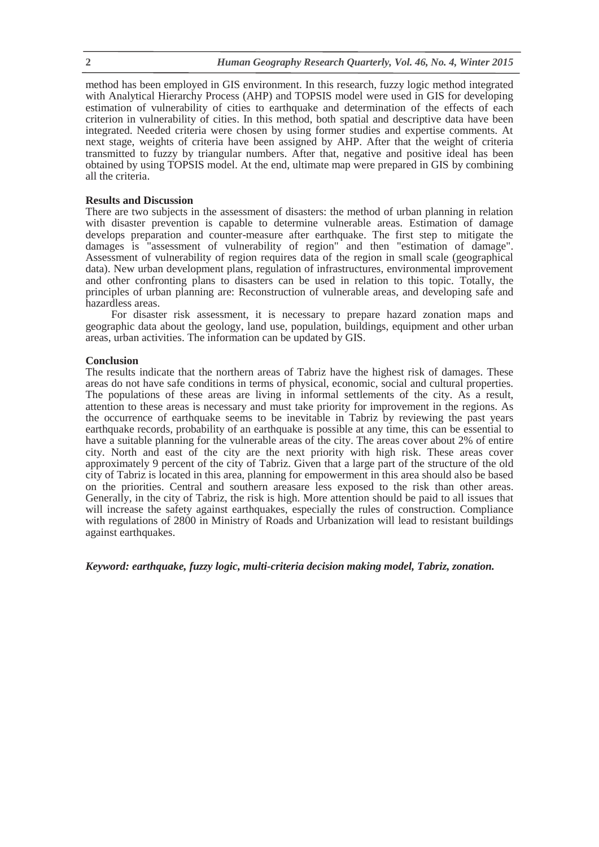method has been employed in GIS environment. In this research, fuzzy logic method integrated with Analytical Hierarchy Process (AHP) and TOPSIS model were used in GIS for developing estimation of vulnerability of cities to earthquake and determination of the effects of each criterion in vulnerability of cities. In this method, both spatial and descriptive data have been integrated. Needed criteria were chosen by using former studies and expertise comments. At next stage, weights of criteria have been assigned by AHP. After that the weight of criteria transmitted to fuzzy by triangular numbers. After that, negative and positive ideal has been obtained by using TOPSIS model. At the end, ultimate map were prepared in GIS by combining all the criteria.

## **Results and Discussion**

There are two subjects in the assessment of disasters: the method of urban planning in relation with disaster prevention is capable to determine vulnerable areas. Estimation of damage develops preparation and counter-measure after earthquake. The first step to mitigate the damages is "assessment of vulnerability of region" and then "estimation of damage". Assessment of vulnerability of region requires data of the region in small scale (geographical data). New urban development plans, regulation of infrastructures, environmental improvement and other confronting plans to disasters can be used in relation to this topic. Totally, the principles of urban planning are: Reconstruction of vulnerable areas, and developing safe and hazardless areas.

For disaster risk assessment, it is necessary to prepare hazard zonation maps and geographic data about the geology, land use, population, buildings, equipment and other urban areas, urban activities. The information can be updated by GIS.

## **Conclusion**

The results indicate that the northern areas of Tabriz have the highest risk of damages. These areas do not have safe conditions in terms of physical, economic, social and cultural properties. The populations of these areas are living in informal settlements of the city. As a result, attention to these areas is necessary and must take priority for improvement in the regions. As the occurrence of earthquake seems to be inevitable in Tabriz by reviewing the past years earthquake records, probability of an earthquake is possible at any time, this can be essential to have a suitable planning for the vulnerable areas of the city. The areas cover about 2% of entire city. North and east of the city are the next priority with high risk. These areas cover approximately 9 percent of the city of Tabriz. Given that a large part of the structure of the old city of Tabriz is located in this area, planning for empowerment in this area should also be based on the priorities. Central and southern areasare less exposed to the risk than other areas. Generally, in the city of Tabriz, the risk is high. More attention should be paid to all issues that will increase the safety against earthquakes, especially the rules of construction. Compliance with regulations of 2800 in Ministry of Roads and Urbanization will lead to resistant buildings against earthquakes.

*Keyword: earthquake, fuzzy logic, multi-criteria decision making model, Tabriz, zonation.*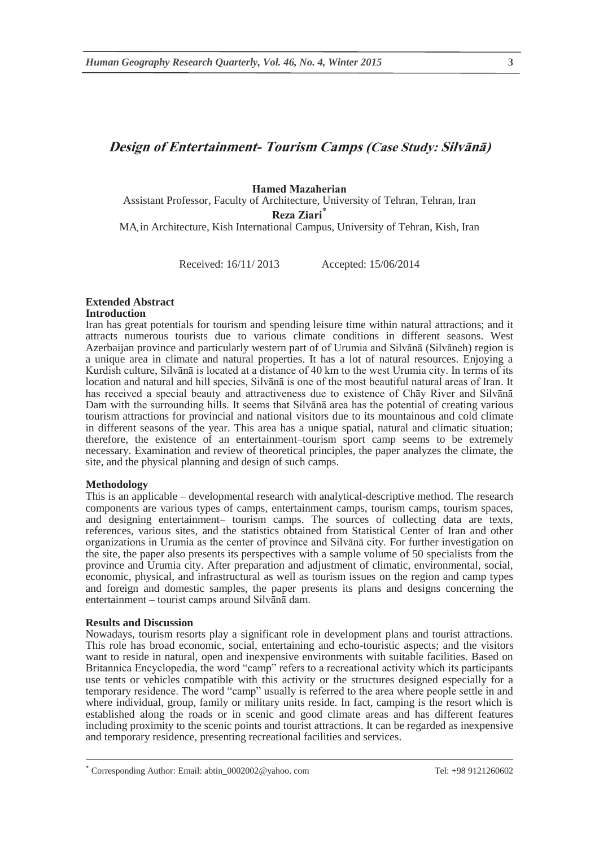# **Design of Entertainment- Tourism Camps (Case Study: Silvānā)**

## **Hamed Mazaherian**

Assistant Professor, Faculty of Architecture, University of Tehran, Tehran, Iran Reza Ziari<sup>\*</sup>

MA in Architecture, Kish International Campus, University of Tehran, Kish, Iran .

Received: 16/11/ 2013 Accepted: 15/06/2014

# **Extended Abstract**

## **Introduction**

Iran has great potentials for tourism and spending leisure time within natural attractions; and it attracts numerous tourists due to various climate conditions in different seasons. West Azerbaijan province and particularly western part of of Urumia and Silvānā (Silvāneh) region is a unique area in climate and natural properties. It has a lot of natural resources. Enjoying a Kurdish culture, Silvānā is located at a distance of 40 km to the west Urumia city. In terms of its location and natural and hill species, Silvānā is one of the most beautiful natural areas of Iran. It has received a special beauty and attractiveness due to existence of Chāy River and Silvānā Dam with the surrounding hills. It seems that Silvānā area has the potential of creating various tourism attractions for provincial and national visitors due to its mountainous and cold climate in different seasons of the year. This area has a unique spatial, natural and climatic situation; therefore, the existence of an entertainment–tourism sport camp seems to be extremely necessary. Examination and review of theoretical principles, the paper analyzes the climate, the site, and the physical planning and design of such camps.

#### **Methodology**

This is an applicable – developmental research with analytical-descriptive method. The research components are various types of camps, entertainment camps, tourism camps, tourism spaces, and designing entertainment– tourism camps. The sources of collecting data are texts, references, various sites, and the statistics obtained from Statistical Center of Iran and other organizations in Urumia as the center of province and Silvānā city. For further investigation on the site, the paper also presents its perspectives with a sample volume of 50 specialists from the province and Urumia city. After preparation and adjustment of climatic, environmental, social, economic, physical, and infrastructural as well as tourism issues on the region and camp types and foreign and domestic samples, the paper presents its plans and designs concerning the entertainment – tourist camps around Silvānā dam.

#### **Results and Discussion**

Nowadays, tourism resorts play a significant role in development plans and tourist attractions. This role has broad economic, social, entertaining and echo-touristic aspects; and the visitors want to reside in natural, open and inexpensive environments with suitable facilities. Based on Britannica Encyclopedia, the word "camp" refers to a recreational activity which its participants use tents or vehicles compatible with this activity or the structures designed especially for a temporary residence. The word "camp" usually is referred to the area where people settle in and where individual, group, family or military units reside. In fact, camping is the resort which is established along the roads or in scenic and good climate areas and has different features including proximity to the scenic points and tourist attractions. It can be regarded as inexpensive and temporary residence, presenting recreational facilities and services.

Corresponding Author: Email: abtin\_0002002@yahoo. com Tel: +98 9121260602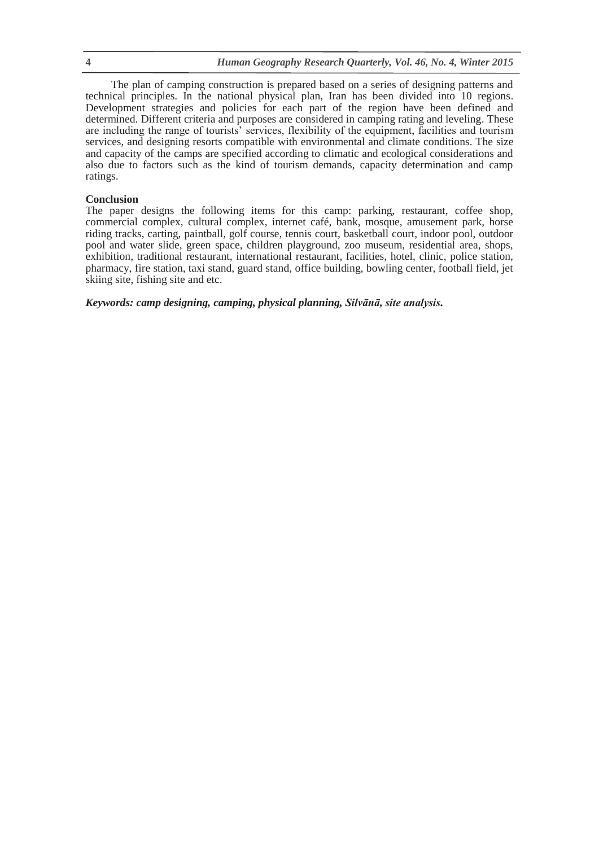The plan of camping construction is prepared based on a series of designing patterns and technical principles. In the national physical plan, Iran has been divided into 10 regions. Development strategies and policies for each part of the region have been defined and determined. Different criteria and purposes are considered in camping rating and leveling. These are including the range of tourists' services, flexibility of the equipment, facilities and tourism services, and designing resorts compatible with environmental and climate conditions. The size and capacity of the camps are specified according to climatic and ecological considerations and also due to factors such as the kind of tourism demands, capacity determination and camp ratings.

### **Conclusion**

The paper designs the following items for this camp: parking, restaurant, coffee shop, commercial complex, cultural complex, internet café, bank, mosque, amusement park, horse riding tracks, carting, paintball, golf course, tennis court, basketball court, indoor pool, outdoor pool and water slide, green space, children playground, zoo museum, residential area, shops, exhibition, traditional restaurant, international restaurant, facilities, hotel, clinic, police station, pharmacy, fire station, taxi stand, guard stand, office building, bowling center, football field, jet skiing site, fishing site and etc.

*Keywords: camp designing, camping, physical planning, Silvānā, site analysis.*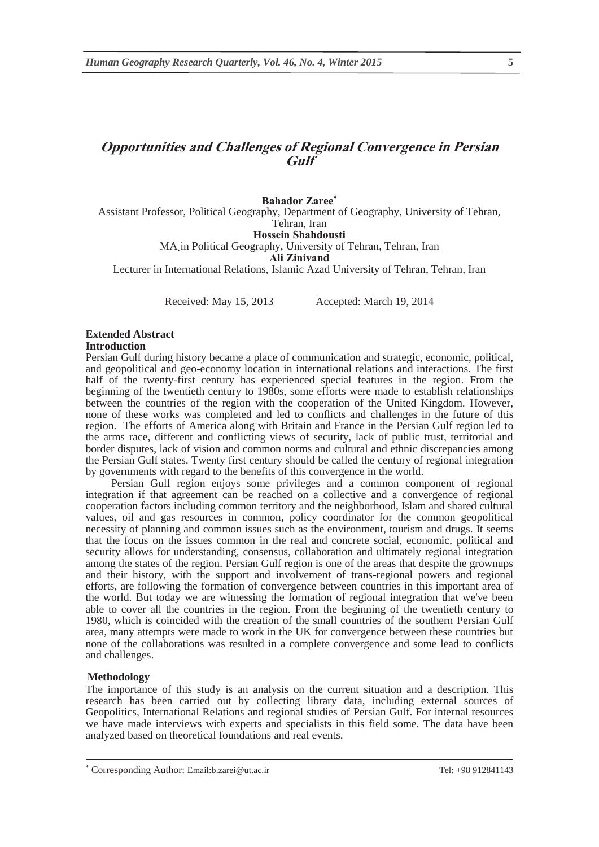# **Opportunities and Challenges of Regional Convergence in Persian Gulf**

**Bahador Zaree** Assistant Professor, Political Geography, Department of Geography, University of Tehran, Tehran, Iran

**Hossein Shahdousti** 

MA in Political Geography, University of Tehran, Tehran, Iran .

**Ali Zinivand** 

Lecturer in International Relations, Islamic Azad University of Tehran, Tehran, Iran

Received: May 15, 2013 Accepted: March 19, 2014

#### **Extended Abstract Introduction**

Persian Gulf during history became a place of communication and strategic, economic, political, and geopolitical and geo-economy location in international relations and interactions. The first half of the twenty-first century has experienced special features in the region. From the beginning of the twentieth century to 1980s, some efforts were made to establish relationships between the countries of the region with the cooperation of the United Kingdom. However, none of these works was completed and led to conflicts and challenges in the future of this region. The efforts of America along with Britain and France in the Persian Gulf region led to the arms race, different and conflicting views of security, lack of public trust, territorial and border disputes, lack of vision and common norms and cultural and ethnic discrepancies among the Persian Gulf states. Twenty first century should be called the century of regional integration by governments with regard to the benefits of this convergence in the world.

Persian Gulf region enjoys some privileges and a common component of regional integration if that agreement can be reached on a collective and a convergence of regional cooperation factors including common territory and the neighborhood, Islam and shared cultural values, oil and gas resources in common, policy coordinator for the common geopolitical necessity of planning and common issues such as the environment, tourism and drugs. It seems that the focus on the issues common in the real and concrete social, economic, political and security allows for understanding, consensus, collaboration and ultimately regional integration among the states of the region. Persian Gulf region is one of the areas that despite the grownups and their history, with the support and involvement of trans-regional powers and regional efforts, are following the formation of convergence between countries in this important area of the world. But today we are witnessing the formation of regional integration that we've been able to cover all the countries in the region. From the beginning of the twentieth century to 1980, which is coincided with the creation of the small countries of the southern Persian Gulf area, many attempts were made to work in the UK for convergence between these countries but none of the collaborations was resulted in a complete convergence and some lead to conflicts and challenges.

#### **Methodology**

The importance of this study is an analysis on the current situation and a description. This research has been carried out by collecting library data, including external sources of Geopolitics, International Relations and regional studies of Persian Gulf. For internal resources we have made interviews with experts and specialists in this field some. The data have been analyzed based on theoretical foundations and real events.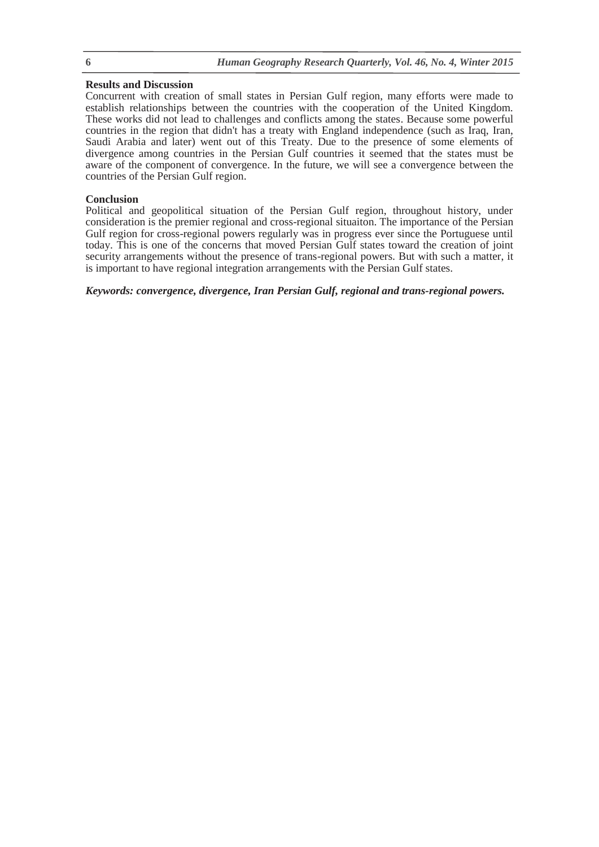## **Results and Discussion**

Concurrent with creation of small states in Persian Gulf region, many efforts were made to establish relationships between the countries with the cooperation of the United Kingdom. These works did not lead to challenges and conflicts among the states. Because some powerful countries in the region that didn't has a treaty with England independence (such as Iraq, Iran, Saudi Arabia and later) went out of this Treaty. Due to the presence of some elements of divergence among countries in the Persian Gulf countries it seemed that the states must be aware of the component of convergence. In the future, we will see a convergence between the countries of the Persian Gulf region.

## **Conclusion**

Political and geopolitical situation of the Persian Gulf region, throughout history, under consideration is the premier regional and cross-regional situaiton. The importance of the Persian Gulf region for cross-regional powers regularly was in progress ever since the Portuguese until today. This is one of the concerns that moved Persian Gulf states toward the creation of joint security arrangements without the presence of trans-regional powers. But with such a matter, it is important to have regional integration arrangements with the Persian Gulf states.

*Keywords: convergence, divergence, Iran Persian Gulf, regional and trans-regional powers.*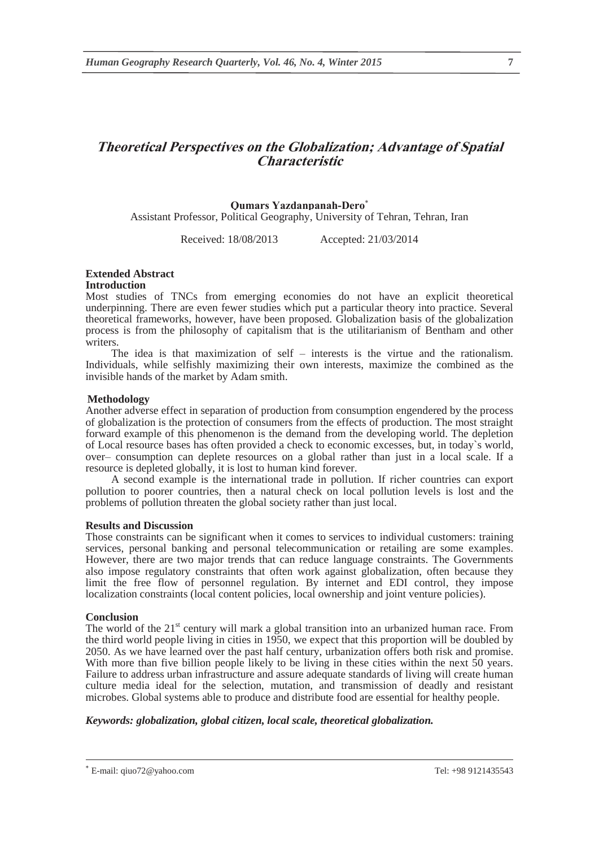# **Theoretical Perspectives on the Globalization; Advantage of Spatial Characteristic**

## **Qumars Yazdanpanah-Dero**

Assistant Professor, Political Geography, University of Tehran, Tehran, Iran

Received: 18/08/2013 Accepted: 21/03/2014

# **Extended Abstract**

## **Introduction**

Most studies of TNCs from emerging economies do not have an explicit theoretical underpinning. There are even fewer studies which put a particular theory into practice. Several theoretical frameworks, however, have been proposed. Globalization basis of the globalization process is from the philosophy of capitalism that is the utilitarianism of Bentham and other writers.

The idea is that maximization of self – interests is the virtue and the rationalism. Individuals, while selfishly maximizing their own interests, maximize the combined as the invisible hands of the market by Adam smith.

## **Methodology**

Another adverse effect in separation of production from consumption engendered by the process of globalization is the protection of consumers from the effects of production. The most straight forward example of this phenomenon is the demand from the developing world. The depletion of Local resource bases has often provided a check to economic excesses, but, in today`s world, over– consumption can deplete resources on a global rather than just in a local scale. If a resource is depleted globally, it is lost to human kind forever.

A second example is the international trade in pollution. If richer countries can export pollution to poorer countries, then a natural check on local pollution levels is lost and the problems of pollution threaten the global society rather than just local.

## **Results and Discussion**

Those constraints can be significant when it comes to services to individual customers: training services, personal banking and personal telecommunication or retailing are some examples. However, there are two major trends that can reduce language constraints. The Governments also impose regulatory constraints that often work against globalization, often because they limit the free flow of personnel regulation. By internet and EDI control, they impose localization constraints (local content policies, local ownership and joint venture policies).

## **Conclusion**

The world of the 21<sup>st</sup> century will mark a global transition into an urbanized human race. From the third world people living in cities in 1950, we expect that this proportion will be doubled by 2050. As we have learned over the past half century, urbanization offers both risk and promise. With more than five billion people likely to be living in these cities within the next 50 years. Failure to address urban infrastructure and assure adequate standards of living will create human culture media ideal for the selection, mutation, and transmission of deadly and resistant microbes. Global systems able to produce and distribute food are essential for healthy people.

## *Keywords: globalization, global citizen, local scale, theoretical globalization.*

 E-mail: qiuo72@yahoo.com Tel: +98 9121435543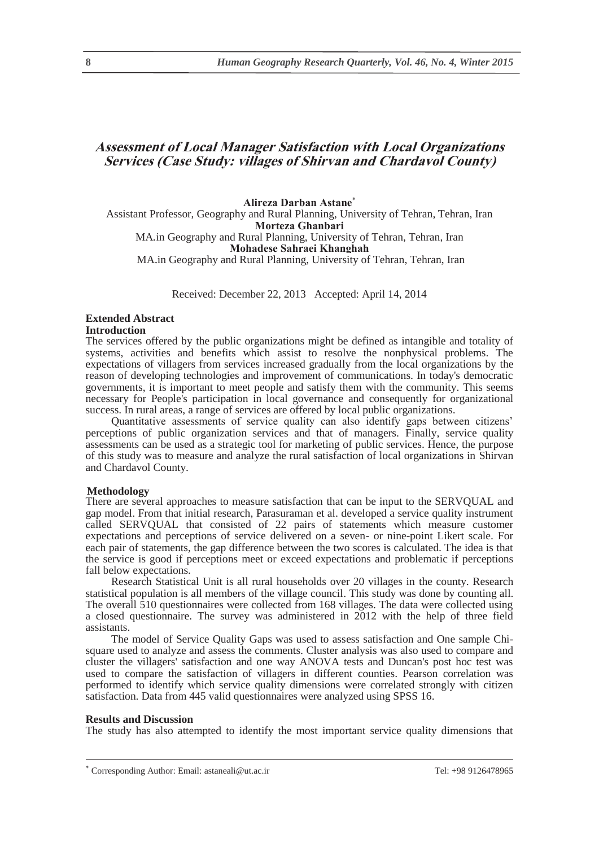# **Assessment of Local Manager Satisfaction with Local Organizations Services (Case Study: villages of Shirvan and Chardavol County)**

**Alireza Darban Astane** Assistant Professor, Geography and Rural Planning, University of Tehran, Tehran, Iran **Morteza Ghanbari**  MA.in Geography and Rural Planning, University of Tehran, Tehran, Iran **Mohadese Sahraei Khanghah**  MA in Geography and Rural Planning, University of Tehran, Tehran, Iran

Received: December 22, 2013 Accepted: April 14, 2014

## **Extended Abstract**

#### **Introduction**

The services offered by the public organizations might be defined as intangible and totality of systems, activities and benefits which assist to resolve the nonphysical problems. The expectations of villagers from services increased gradually from the local organizations by the reason of developing technologies and improvement of communications. In today's democratic governments, it is important to meet people and satisfy them with the community. This seems necessary for People's participation in local governance and consequently for organizational success. In rural areas, a range of services are offered by local public organizations.

Quantitative assessments of service quality can also identify gaps between citizens' perceptions of public organization services and that of managers. Finally, service quality assessments can be used as a strategic tool for marketing of public services. Hence, the purpose of this study was to measure and analyze the rural satisfaction of local organizations in Shirvan and Chardavol County.

### **Methodology**

There are several approaches to measure satisfaction that can be input to the SERVQUAL and gap model. From that initial research, Parasuraman et al. developed a service quality instrument called SERVQUAL that consisted of 22 pairs of statements which measure customer expectations and perceptions of service delivered on a seven- or nine-point Likert scale. For each pair of statements, the gap difference between the two scores is calculated. The idea is that the service is good if perceptions meet or exceed expectations and problematic if perceptions fall below expectations.

Research Statistical Unit is all rural households over 20 villages in the county. Research statistical population is all members of the village council. This study was done by counting all. The overall 510 questionnaires were collected from 168 villages. The data were collected using a closed questionnaire. The survey was administered in 2012 with the help of three field assistants.

The model of Service Quality Gaps was used to assess satisfaction and One sample Chisquare used to analyze and assess the comments. Cluster analysis was also used to compare and cluster the villagers' satisfaction and one way ANOVA tests and Duncan's post hoc test was used to compare the satisfaction of villagers in different counties. Pearson correlation was performed to identify which service quality dimensions were correlated strongly with citizen satisfaction. Data from 445 valid questionnaires were analyzed using SPSS 16.

#### **Results and Discussion**

The study has also attempted to identify the most important service quality dimensions that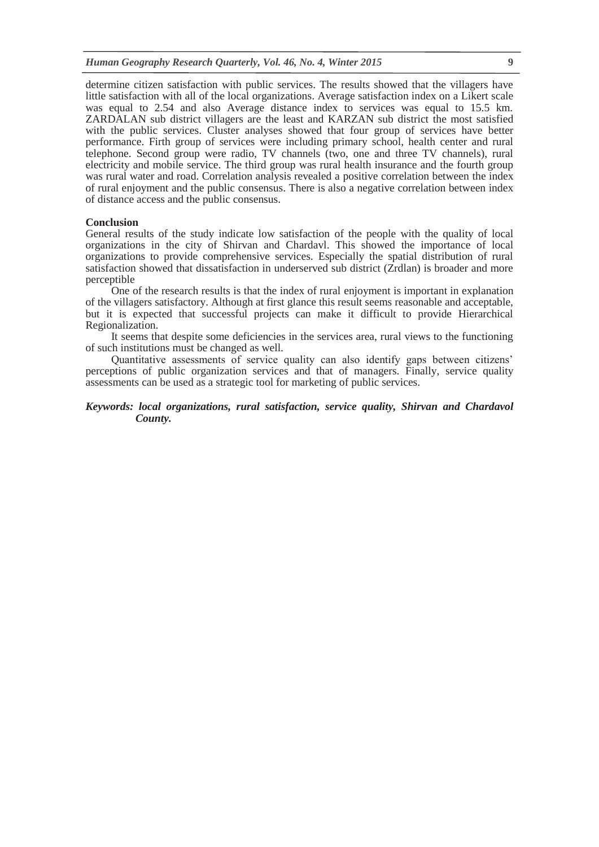determine citizen satisfaction with public services. The results showed that the villagers have little satisfaction with all of the local organizations. Average satisfaction index on a Likert scale was equal to 2.54 and also Average distance index to services was equal to 15.5 km. ZARDALAN sub district villagers are the least and KARZAN sub district the most satisfied with the public services. Cluster analyses showed that four group of services have better performance. Firth group of services were including primary school, health center and rural telephone. Second group were radio, TV channels (two, one and three TV channels), rural electricity and mobile service. The third group was rural health insurance and the fourth group was rural water and road. Correlation analysis revealed a positive correlation between the index of rural enjoyment and the public consensus. There is also a negative correlation between index of distance access and the public consensus.

#### **Conclusion**

General results of the study indicate low satisfaction of the people with the quality of local organizations in the city of Shirvan and Chardavl. This showed the importance of local organizations to provide comprehensive services. Especially the spatial distribution of rural satisfaction showed that dissatisfaction in underserved sub district (Zrdlan) is broader and more perceptible

One of the research results is that the index of rural enjoyment is important in explanation of the villagers satisfactory. Although at first glance this result seems reasonable and acceptable, but it is expected that successful projects can make it difficult to provide Hierarchical Regionalization.

It seems that despite some deficiencies in the services area, rural views to the functioning of such institutions must be changed as well.

Quantitative assessments of service quality can also identify gaps between citizens' perceptions of public organization services and that of managers. Finally, service quality assessments can be used as a strategic tool for marketing of public services.

## *Keywords: local organizations, rural satisfaction, service quality, Shirvan and Chardavol County.*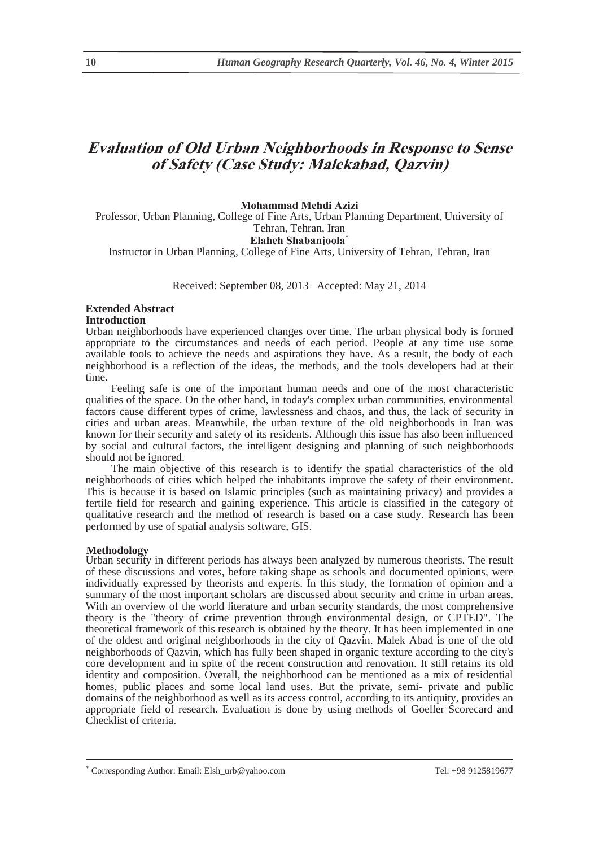# **Evaluation of Old Urban Neighborhoods in Response to Sense of Safety (Case Study: Malekabad, Qazvin)**

## **Mohammad Mehdi Azizi**

Professor, Urban Planning, College of Fine Arts, Urban Planning Department, University of Tehran, Tehran, Iran

#### **Elaheh Shabanjoola**

Instructor in Urban Planning, College of Fine Arts, University of Tehran, Tehran, Iran

Received: September 08, 2013 Accepted: May 21, 2014

#### **Extended Abstract Introduction**

Urban neighborhoods have experienced changes over time. The urban physical body is formed appropriate to the circumstances and needs of each period. People at any time use some available tools to achieve the needs and aspirations they have. As a result, the body of each neighborhood is a reflection of the ideas, the methods, and the tools developers had at their time.

Feeling safe is one of the important human needs and one of the most characteristic qualities of the space. On the other hand, in today's complex urban communities, environmental factors cause different types of crime, lawlessness and chaos, and thus, the lack of security in cities and urban areas. Meanwhile, the urban texture of the old neighborhoods in Iran was known for their security and safety of its residents. Although this issue has also been influenced by social and cultural factors, the intelligent designing and planning of such neighborhoods should not be ignored.

The main objective of this research is to identify the spatial characteristics of the old neighborhoods of cities which helped the inhabitants improve the safety of their environment. This is because it is based on Islamic principles (such as maintaining privacy) and provides a fertile field for research and gaining experience. This article is classified in the category of qualitative research and the method of research is based on a case study. Research has been performed by use of spatial analysis software, GIS.

## **Methodology**

Urban security in different periods has always been analyzed by numerous theorists. The result of these discussions and votes, before taking shape as schools and documented opinions, were individually expressed by theorists and experts. In this study, the formation of opinion and a summary of the most important scholars are discussed about security and crime in urban areas. With an overview of the world literature and urban security standards, the most comprehensive theory is the "theory of crime prevention through environmental design, or CPTED". The theoretical framework of this research is obtained by the theory. It has been implemented in one of the oldest and original neighborhoods in the city of Qazvin. Malek Abad is one of the old neighborhoods of Qazvin, which has fully been shaped in organic texture according to the city's core development and in spite of the recent construction and renovation. It still retains its old identity and composition. Overall, the neighborhood can be mentioned as a mix of residential homes, public places and some local land uses. But the private, semi- private and public domains of the neighborhood as well as its access control, according to its antiquity, provides an appropriate field of research. Evaluation is done by using methods of Goeller Scorecard and Checklist of criteria.

Corresponding Author: Email: Elsh\_urb@yahoo.com Tel: +98 9125819677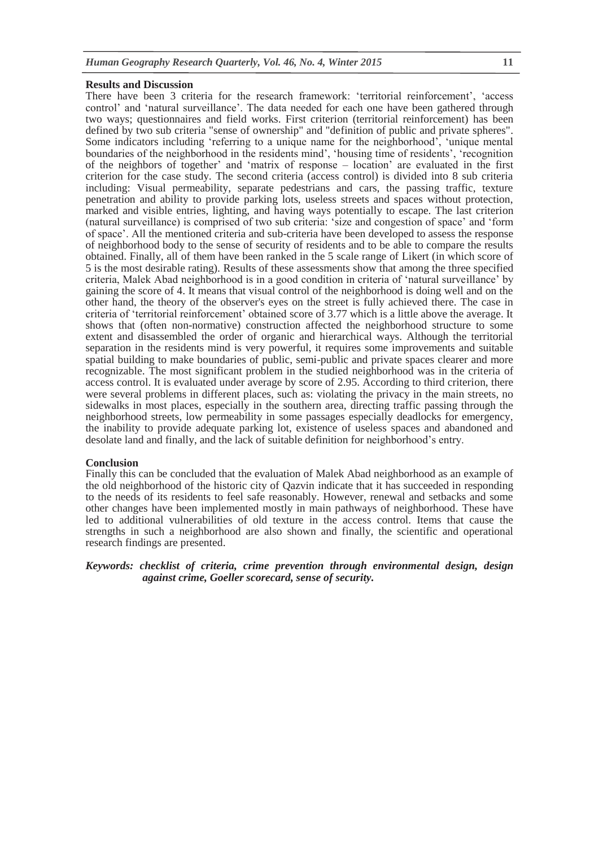#### **Results and Discussion**

There have been 3 criteria for the research framework: 'territorial reinforcement', 'access control' and 'natural surveillance'. The data needed for each one have been gathered through two ways; questionnaires and field works. First criterion (territorial reinforcement) has been defined by two sub criteria "sense of ownership" and "definition of public and private spheres". Some indicators including 'referring to a unique name for the neighborhood', 'unique mental boundaries of the neighborhood in the residents mind', 'housing time of residents', 'recognition of the neighbors of together' and 'matrix of response – location' are evaluated in the first criterion for the case study. The second criteria (access control) is divided into 8 sub criteria including: Visual permeability, separate pedestrians and cars, the passing traffic, texture penetration and ability to provide parking lots, useless streets and spaces without protection, marked and visible entries, lighting, and having ways potentially to escape. The last criterion (natural surveillance) is comprised of two sub criteria: 'size and congestion of space' and 'form of space'. All the mentioned criteria and sub-criteria have been developed to assess the response of neighborhood body to the sense of security of residents and to be able to compare the results obtained. Finally, all of them have been ranked in the 5 scale range of Likert (in which score of 5 is the most desirable rating). Results of these assessments show that among the three specified criteria, Malek Abad neighborhood is in a good condition in criteria of 'natural surveillance' by gaining the score of 4. It means that visual control of the neighborhood is doing well and on the other hand, the theory of the observer's eyes on the street is fully achieved there. The case in criteria of 'territorial reinforcement' obtained score of 3.77 which is a little above the average. It shows that (often non-normative) construction affected the neighborhood structure to some extent and disassembled the order of organic and hierarchical ways. Although the territorial separation in the residents mind is very powerful, it requires some improvements and suitable spatial building to make boundaries of public, semi-public and private spaces clearer and more recognizable. The most significant problem in the studied neighborhood was in the criteria of access control. It is evaluated under average by score of 2.95. According to third criterion, there were several problems in different places, such as: violating the privacy in the main streets, no sidewalks in most places, especially in the southern area, directing traffic passing through the neighborhood streets, low permeability in some passages especially deadlocks for emergency, the inability to provide adequate parking lot, existence of useless spaces and abandoned and desolate land and finally, and the lack of suitable definition for neighborhood's entry.

#### **Conclusion**

Finally this can be concluded that the evaluation of Malek Abad neighborhood as an example of the old neighborhood of the historic city of Qazvin indicate that it has succeeded in responding to the needs of its residents to feel safe reasonably. However, renewal and setbacks and some other changes have been implemented mostly in main pathways of neighborhood. These have led to additional vulnerabilities of old texture in the access control. Items that cause the strengths in such a neighborhood are also shown and finally, the scientific and operational research findings are presented.

## *Keywords: checklist of criteria, crime prevention through environmental design, design against crime, Goeller scorecard, sense of security.*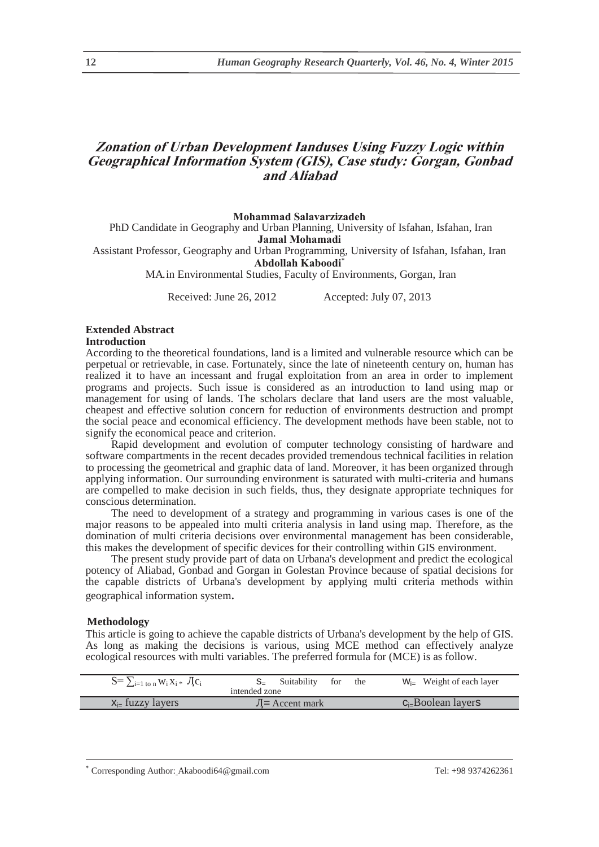# **Zonation of Urban Development Ianduses Using Fuzzy Logic within Geographical Information System (GIS), Case study: Gorgan, Gonbad and Aliabad**

#### **Mohammad Salavarzizadeh**

PhD Candidate in Geography and Urban Planning, University of Isfahan, Isfahan, Iran **Jamal Mohamadi** 

Assistant Professor, Geography and Urban Programming, University of Isfahan, Isfahan, Iran **Abdollah Kaboodi**

MA in Environmental Studies, Faculty of Environments, Gorgan, Iran

Received: June 26, 2012 Accepted: July 07, 2013

## **Extended Abstract**

**Introduction** 

According to the theoretical foundations, land is a limited and vulnerable resource which can be perpetual or retrievable, in case. Fortunately, since the late of nineteenth century on, human has realized it to have an incessant and frugal exploitation from an area in order to implement programs and projects. Such issue is considered as an introduction to land using map or management for using of lands. The scholars declare that land users are the most valuable, cheapest and effective solution concern for reduction of environments destruction and prompt the social peace and economical efficiency. The development methods have been stable, not to signify the economical peace and criterion.

Rapid development and evolution of computer technology consisting of hardware and software compartments in the recent decades provided tremendous technical facilities in relation to processing the geometrical and graphic data of land. Moreover, it has been organized through applying information. Our surrounding environment is saturated with multi-criteria and humans are compelled to make decision in such fields, thus, they designate appropriate techniques for conscious determination.

The need to development of a strategy and programming in various cases is one of the major reasons to be appealed into multi criteria analysis in land using map. Therefore, as the domination of multi criteria decisions over environmental management has been considerable, this makes the development of specific devices for their controlling within GIS environment.

The present study provide part of data on Urbana's development and predict the ecological potency of Aliabad, Gonbad and Gorgan in Golestan Province because of spatial decisions for the capable districts of Urbana's development by applying multi criteria methods within geographical information system.

#### **Methodology**

This article is going to achieve the capable districts of Urbana's development by the help of GIS. As long as making the decisions is various, using MCE method can effectively analyze ecological resources with multi variables. The preferred formula for (MCE) is as follow.

| $S = \sum_{i=1 \text{ to n}} W_i X_i * J C_i$ | Suitability for<br>the | $W_{i-}$ Weight of each layer |
|-----------------------------------------------|------------------------|-------------------------------|
|                                               | intended zone          |                               |
| $x_{i}$ fuzzy layers                          | $J =$ Accent mark      | $C_i$ -Boolean layers         |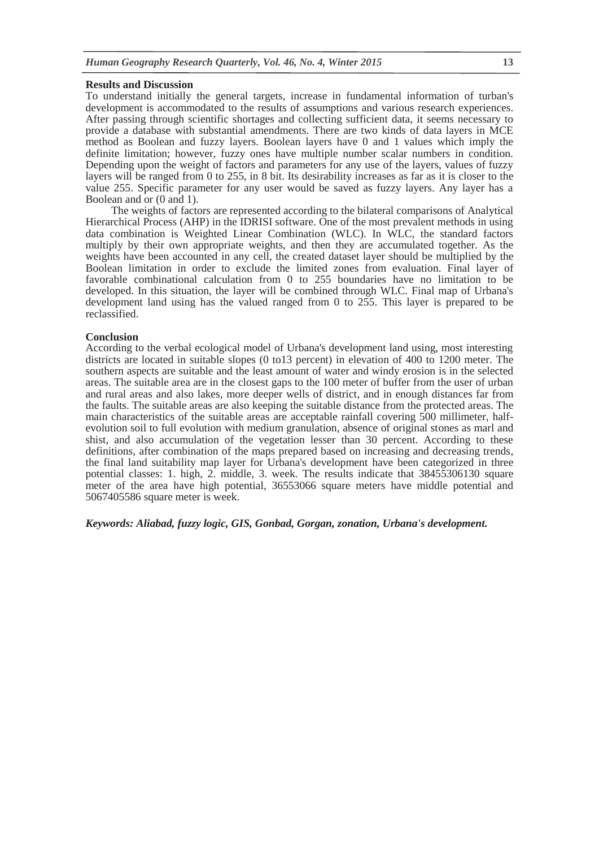### **Results and Discussion**

To understand initially the general targets, increase in fundamental information of turban's development is accommodated to the results of assumptions and various research experiences. After passing through scientific shortages and collecting sufficient data, it seems necessary to provide a database with substantial amendments. There are two kinds of data layers in MCE method as Boolean and fuzzy layers. Boolean layers have 0 and 1 values which imply the definite limitation; however, fuzzy ones have multiple number scalar numbers in condition. Depending upon the weight of factors and parameters for any use of the layers, values of fuzzy layers will be ranged from 0 to 255, in 8 bit. Its desirability increases as far as it is closer to the value 255. Specific parameter for any user would be saved as fuzzy layers. Any layer has a Boolean and or (0 and 1).

The weights of factors are represented according to the bilateral comparisons of Analytical Hierarchical Process (AHP) in the IDRISI software. One of the most prevalent methods in using data combination is Weighted Linear Combination (WLC). In WLC, the standard factors multiply by their own appropriate weights, and then they are accumulated together. As the weights have been accounted in any cell, the created dataset layer should be multiplied by the Boolean limitation in order to exclude the limited zones from evaluation. Final layer of favorable combinational calculation from 0 to 255 boundaries have no limitation to be developed. In this situation, the layer will be combined through WLC. Final map of Urbana's development land using has the valued ranged from 0 to 255. This layer is prepared to be reclassified.

#### **Conclusion**

According to the verbal ecological model of Urbana's development land using, most interesting districts are located in suitable slopes (0 to13 percent) in elevation of 400 to 1200 meter. The southern aspects are suitable and the least amount of water and windy erosion is in the selected areas. The suitable area are in the closest gaps to the 100 meter of buffer from the user of urban and rural areas and also lakes, more deeper wells of district, and in enough distances far from the faults. The suitable areas are also keeping the suitable distance from the protected areas. The main characteristics of the suitable areas are acceptable rainfall covering 500 millimeter, halfevolution soil to full evolution with medium granulation, absence of original stones as marl and shist, and also accumulation of the vegetation lesser than 30 percent. According to these definitions, after combination of the maps prepared based on increasing and decreasing trends, the final land suitability map layer for Urbana's development have been categorized in three potential classes: 1. high, 2. middle, 3. week. The results indicate that 38455306130 square meter of the area have high potential, 36553066 square meters have middle potential and 5067405586 square meter is week.

*Keywords: Aliabad, fuzzy logic, GIS, Gonbad, Gorgan, zonation, Urbana's development.*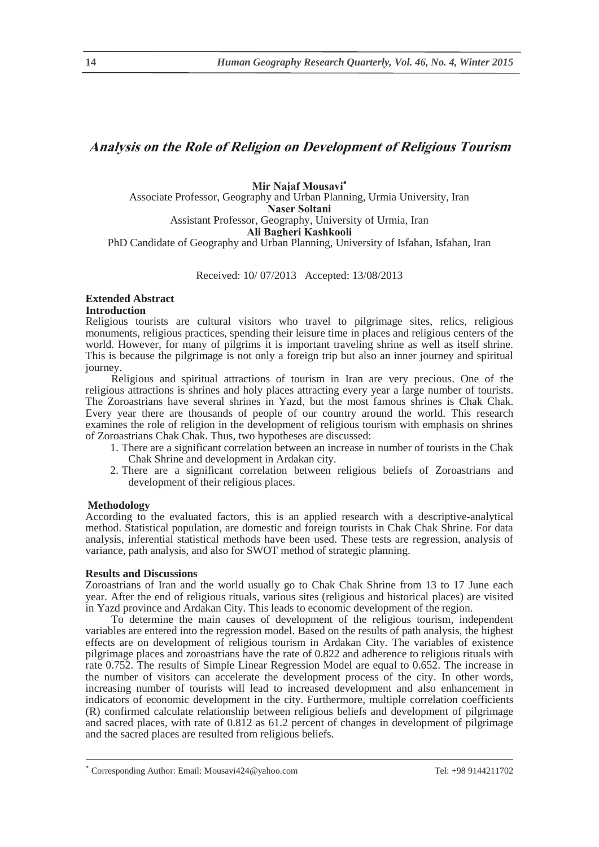# **Analysis on the Role of Religion on Development of Religious Tourism**

### **Mir Najaf Mousavi** Associate Professor, Geography and Urban Planning, Urmia University, Iran

**Naser Soltani** 

Assistant Professor, Geography, University of Urmia, Iran

**Ali Bagheri Kashkooli** 

PhD Candidate of Geography and Urban Planning, University of Isfahan, Isfahan, Iran

Received: 10/ 07/2013 Accepted: 13/08/2013

## **Extended Abstract Introduction**

Religious tourists are cultural visitors who travel to pilgrimage sites, relics, religious monuments, religious practices, spending their leisure time in places and religious centers of the world. However, for many of pilgrims it is important traveling shrine as well as itself shrine. This is because the pilgrimage is not only a foreign trip but also an inner journey and spiritual journey.

Religious and spiritual attractions of tourism in Iran are very precious. One of the religious attractions is shrines and holy places attracting every year a large number of tourists. The Zoroastrians have several shrines in Yazd, but the most famous shrines is Chak Chak. Every year there are thousands of people of our country around the world. This research examines the role of religion in the development of religious tourism with emphasis on shrines of Zoroastrians Chak Chak. Thus, two hypotheses are discussed:

- 1. There are a significant correlation between an increase in number of tourists in the Chak Chak Shrine and development in Ardakan city.
- 2. There are a significant correlation between religious beliefs of Zoroastrians and development of their religious places.

## **Methodology**

According to the evaluated factors, this is an applied research with a descriptive-analytical method. Statistical population, are domestic and foreign tourists in Chak Chak Shrine. For data analysis, inferential statistical methods have been used. These tests are regression, analysis of variance, path analysis, and also for SWOT method of strategic planning.

## **Results and Discussions**

Zoroastrians of Iran and the world usually go to Chak Chak Shrine from 13 to 17 June each year. After the end of religious rituals, various sites (religious and historical places) are visited in Yazd province and Ardakan City. This leads to economic development of the region.

To determine the main causes of development of the religious tourism, independent variables are entered into the regression model. Based on the results of path analysis, the highest effects are on development of religious tourism in Ardakan City. The variables of existence pilgrimage places and zoroastrians have the rate of 0.822 and adherence to religious rituals with rate 0.752. The results of Simple Linear Regression Model are equal to 0.652. The increase in the number of visitors can accelerate the development process of the city. In other words, increasing number of tourists will lead to increased development and also enhancement in indicators of economic development in the city. Furthermore, multiple correlation coefficients (R) confirmed calculate relationship between religious beliefs and development of pilgrimage and sacred places, with rate of 0.812 as 61.2 percent of changes in development of pilgrimage and the sacred places are resulted from religious beliefs.

Corresponding Author: Email: Mousavi424@yahoo.com Tel: +98 9144211702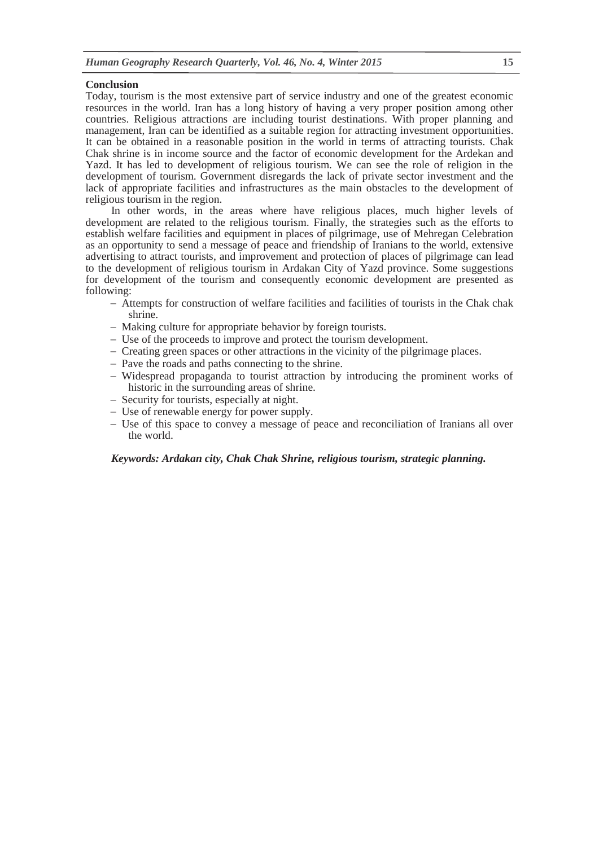### **Conclusion**

Today, tourism is the most extensive part of service industry and one of the greatest economic resources in the world. Iran has a long history of having a very proper position among other countries. Religious attractions are including tourist destinations. With proper planning and management, Iran can be identified as a suitable region for attracting investment opportunities. It can be obtained in a reasonable position in the world in terms of attracting tourists. Chak Chak shrine is in income source and the factor of economic development for the Ardekan and Yazd. It has led to development of religious tourism. We can see the role of religion in the development of tourism. Government disregards the lack of private sector investment and the lack of appropriate facilities and infrastructures as the main obstacles to the development of religious tourism in the region.

In other words, in the areas where have religious places, much higher levels of development are related to the religious tourism. Finally, the strategies such as the efforts to establish welfare facilities and equipment in places of pilgrimage, use of Mehregan Celebration as an opportunity to send a message of peace and friendship of Iranians to the world, extensive advertising to attract tourists, and improvement and protection of places of pilgrimage can lead to the development of religious tourism in Ardakan City of Yazd province. Some suggestions for development of the tourism and consequently economic development are presented as following:

- Attempts for construction of welfare facilities and facilities of tourists in the Chak chak shrine.
- Making culture for appropriate behavior by foreign tourists.
- Use of the proceeds to improve and protect the tourism development.
- Creating green spaces or other attractions in the vicinity of the pilgrimage places.
- Pave the roads and paths connecting to the shrine.
- Widespread propaganda to tourist attraction by introducing the prominent works of historic in the surrounding areas of shrine.
- Security for tourists, especially at night.
- Use of renewable energy for power supply.
- Use of this space to convey a message of peace and reconciliation of Iranians all over the world.

*Keywords: Ardakan city, Chak Chak Shrine, religious tourism, strategic planning.*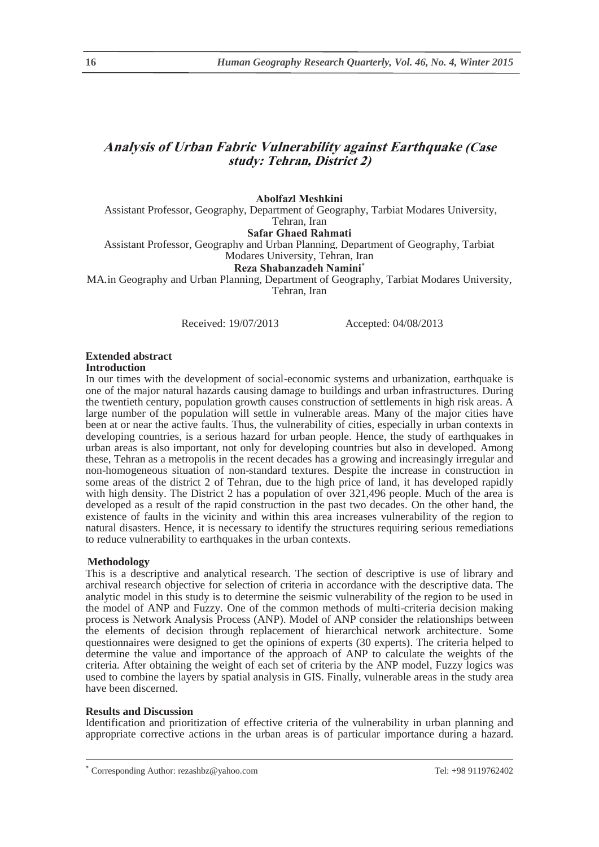# **Analysis of Urban Fabric Vulnerability against Earthquake (Case study: Tehran, District 2)**

## **Abolfazl Meshkini**

Assistant Professor, Geography, Department of Geography, Tarbiat Modares University, Tehran, Iran

## **Safar Ghaed Rahmati**

Assistant Professor, Geography and Urban Planning, Department of Geography, Tarbiat Modares University, Tehran, Iran

## **Reza Shabanzadeh Namini**

MA.in Geography and Urban Planning, Department of Geography, Tarbiat Modares University, Tehran, Iran

Received: 19/07/2013 Accepted: 04/08/2013

## **Extended abstract**

#### **Introduction**

In our times with the development of social-economic systems and urbanization, earthquake is one of the major natural hazards causing damage to buildings and urban infrastructures. During the twentieth century, population growth causes construction of settlements in high risk areas. A large number of the population will settle in vulnerable areas. Many of the major cities have been at or near the active faults. Thus, the vulnerability of cities, especially in urban contexts in developing countries, is a serious hazard for urban people. Hence, the study of earthquakes in urban areas is also important, not only for developing countries but also in developed. Among these, Tehran as a metropolis in the recent decades has a growing and increasingly irregular and non-homogeneous situation of non-standard textures. Despite the increase in construction in some areas of the district 2 of Tehran, due to the high price of land, it has developed rapidly with high density. The District 2 has a population of over 321,496 people. Much of the area is developed as a result of the rapid construction in the past two decades. On the other hand, the existence of faults in the vicinity and within this area increases vulnerability of the region to natural disasters. Hence, it is necessary to identify the structures requiring serious remediations to reduce vulnerability to earthquakes in the urban contexts.

## **Methodology**

This is a descriptive and analytical research. The section of descriptive is use of library and archival research objective for selection of criteria in accordance with the descriptive data. The analytic model in this study is to determine the seismic vulnerability of the region to be used in the model of ANP and Fuzzy. One of the common methods of multi-criteria decision making process is Network Analysis Process (ANP). Model of ANP consider the relationships between the elements of decision through replacement of hierarchical network architecture. Some questionnaires were designed to get the opinions of experts (30 experts). The criteria helped to determine the value and importance of the approach of ANP to calculate the weights of the criteria. After obtaining the weight of each set of criteria by the ANP model, Fuzzy logics was used to combine the layers by spatial analysis in GIS. Finally, vulnerable areas in the study area have been discerned.

#### **Results and Discussion**

Identification and prioritization of effective criteria of the vulnerability in urban planning and appropriate corrective actions in the urban areas is of particular importance during a hazard.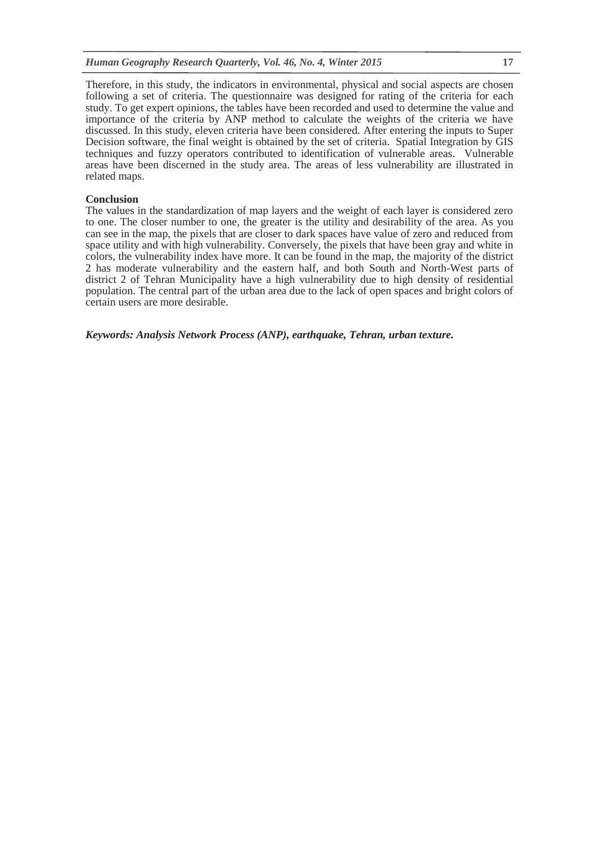Therefore, in this study, the indicators in environmental, physical and social aspects are chosen following a set of criteria. The questionnaire was designed for rating of the criteria for each study. To get expert opinions, the tables have been recorded and used to determine the value and importance of the criteria by ANP method to calculate the weights of the criteria we have discussed. In this study, eleven criteria have been considered. After entering the inputs to Super Decision software, the final weight is obtained by the set of criteria. Spatial Integration by GIS techniques and fuzzy operators contributed to identification of vulnerable areas. Vulnerable areas have been discerned in the study area. The areas of less vulnerability are illustrated in related maps.

#### **Conclusion**

The values in the standardization of map layers and the weight of each layer is considered zero to one. The closer number to one, the greater is the utility and desirability of the area. As you can see in the map, the pixels that are closer to dark spaces have value of zero and reduced from space utility and with high vulnerability. Conversely, the pixels that have been gray and white in colors, the vulnerability index have more. It can be found in the map, the majority of the district 2 has moderate vulnerability and the eastern half, and both South and North-West parts of district 2 of Tehran Municipality have a high vulnerability due to high density of residential population. The central part of the urban area due to the lack of open spaces and bright colors of certain users are more desirable.

*Keywords: Analysis Network Process (ANP), earthquake, Tehran, urban texture.*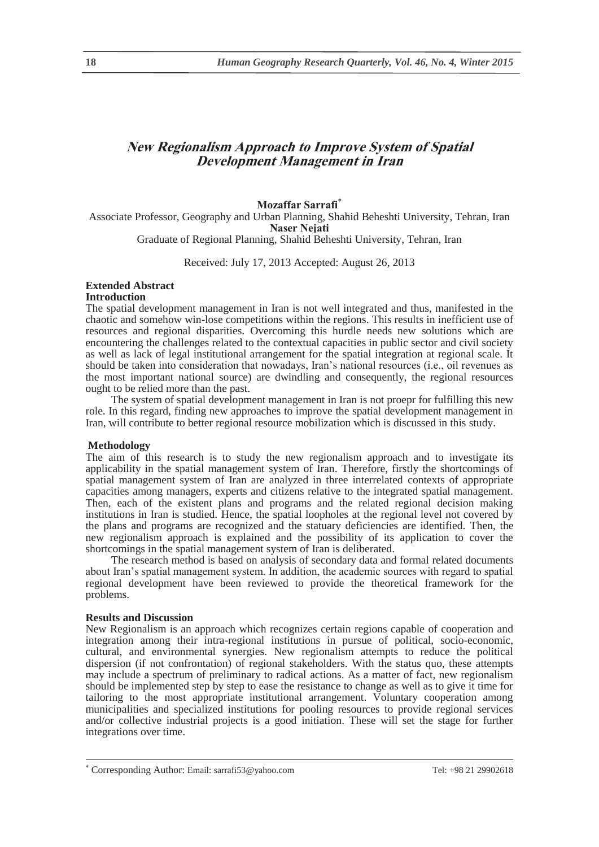# **New Regionalism Approach to Improve System of Spatial Development Management in Iran**

## **Mozaffar Sarrafi**

Associate Professor, Geography and Urban Planning, Shahid Beheshti University, Tehran, Iran **Naser Nejati**  Graduate of Regional Planning, Shahid Beheshti University, Tehran, Iran

Received: July 17, 2013 Accepted: August 26, 2013

# **Extended Abstract**

## **Introduction**

The spatial development management in Iran is not well integrated and thus, manifested in the chaotic and somehow win-lose competitions within the regions. This results in inefficient use of resources and regional disparities. Overcoming this hurdle needs new solutions which are encountering the challenges related to the contextual capacities in public sector and civil society as well as lack of legal institutional arrangement for the spatial integration at regional scale. It should be taken into consideration that nowadays, Iran's national resources (i.e., oil revenues as the most important national source) are dwindling and consequently, the regional resources ought to be relied more than the past.

The system of spatial development management in Iran is not proepr for fulfilling this new role. In this regard, finding new approaches to improve the spatial development management in Iran, will contribute to better regional resource mobilization which is discussed in this study.

## **Methodology**

The aim of this research is to study the new regionalism approach and to investigate its applicability in the spatial management system of Iran. Therefore, firstly the shortcomings of spatial management system of Iran are analyzed in three interrelated contexts of appropriate capacities among managers, experts and citizens relative to the integrated spatial management. Then, each of the existent plans and programs and the related regional decision making institutions in Iran is studied. Hence, the spatial loopholes at the regional level not covered by the plans and programs are recognized and the statuary deficiencies are identified. Then, the new regionalism approach is explained and the possibility of its application to cover the shortcomings in the spatial management system of Iran is deliberated.

The research method is based on analysis of secondary data and formal related documents about Iran's spatial management system. In addition, the academic sources with regard to spatial regional development have been reviewed to provide the theoretical framework for the problems.

## **Results and Discussion**

New Regionalism is an approach which recognizes certain regions capable of cooperation and integration among their intra-regional institutions in pursue of political, socio-economic, cultural, and environmental synergies. New regionalism attempts to reduce the political dispersion (if not confrontation) of regional stakeholders. With the status quo, these attempts may include a spectrum of preliminary to radical actions. As a matter of fact, new regionalism should be implemented step by step to ease the resistance to change as well as to give it time for tailoring to the most appropriate institutional arrangement. Voluntary cooperation among municipalities and specialized institutions for pooling resources to provide regional services and/or collective industrial projects is a good initiation. These will set the stage for further integrations over time.

 $\overline{\phantom{a}}$ Corresponding Author: Email: sarrafi53@yahoo.com Tel: +98 21 29902618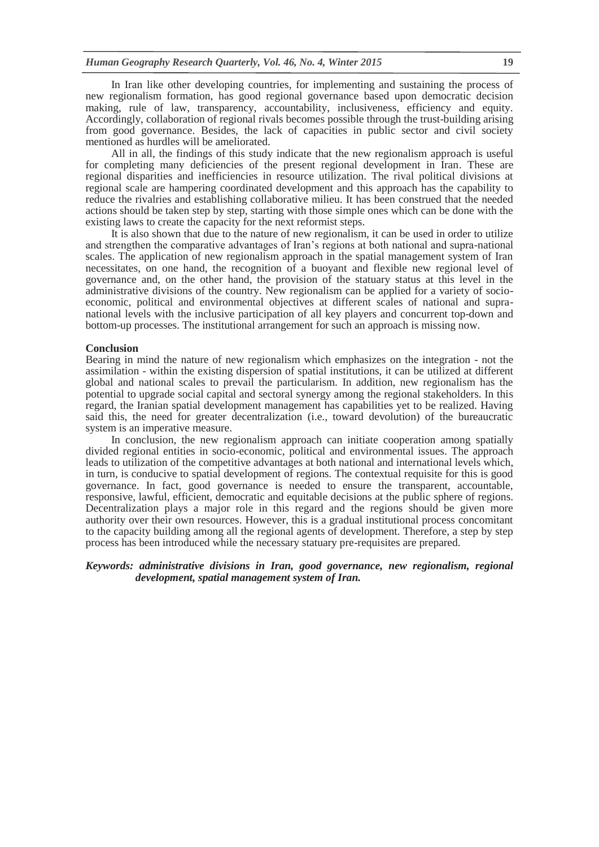In Iran like other developing countries, for implementing and sustaining the process of new regionalism formation, has good regional governance based upon democratic decision making, rule of law, transparency, accountability, inclusiveness, efficiency and equity. Accordingly, collaboration of regional rivals becomes possible through the trust-building arising from good governance. Besides, the lack of capacities in public sector and civil society mentioned as hurdles will be ameliorated.

All in all, the findings of this study indicate that the new regionalism approach is useful for completing many deficiencies of the present regional development in Iran. These are regional disparities and inefficiencies in resource utilization. The rival political divisions at regional scale are hampering coordinated development and this approach has the capability to reduce the rivalries and establishing collaborative milieu. It has been construed that the needed actions should be taken step by step, starting with those simple ones which can be done with the existing laws to create the capacity for the next reformist steps.

It is also shown that due to the nature of new regionalism, it can be used in order to utilize and strengthen the comparative advantages of Iran's regions at both national and supra-national scales. The application of new regionalism approach in the spatial management system of Iran necessitates, on one hand, the recognition of a buoyant and flexible new regional level of governance and, on the other hand, the provision of the statuary status at this level in the administrative divisions of the country. New regionalism can be applied for a variety of socioeconomic, political and environmental objectives at different scales of national and supranational levels with the inclusive participation of all key players and concurrent top-down and bottom-up processes. The institutional arrangement for such an approach is missing now.

#### **Conclusion**

Bearing in mind the nature of new regionalism which emphasizes on the integration - not the assimilation - within the existing dispersion of spatial institutions, it can be utilized at different global and national scales to prevail the particularism. In addition, new regionalism has the potential to upgrade social capital and sectoral synergy among the regional stakeholders. In this regard, the Iranian spatial development management has capabilities yet to be realized. Having said this, the need for greater decentralization (i.e., toward devolution) of the bureaucratic system is an imperative measure.

In conclusion, the new regionalism approach can initiate cooperation among spatially divided regional entities in socio-economic, political and environmental issues. The approach leads to utilization of the competitive advantages at both national and international levels which, in turn, is conducive to spatial development of regions. The contextual requisite for this is good governance. In fact, good governance is needed to ensure the transparent, accountable, responsive, lawful, efficient, democratic and equitable decisions at the public sphere of regions. Decentralization plays a major role in this regard and the regions should be given more authority over their own resources. However, this is a gradual institutional process concomitant to the capacity building among all the regional agents of development. Therefore, a step by step process has been introduced while the necessary statuary pre-requisites are prepared.

## *Keywords: administrative divisions in Iran, good governance, new regionalism, regional development, spatial management system of Iran.*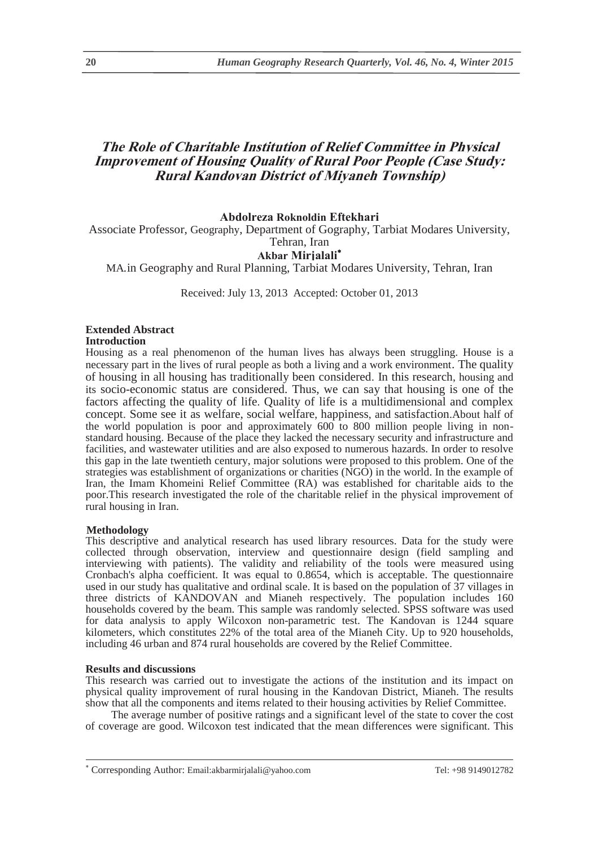# **The Role of Charitable Institution of Relief Committee in Physical Improvement of Housing Quality of Rural Poor People (Case Study: Rural Kandovan District of Miyaneh Township)**

## **Abdolreza Roknoldin Eftekhari**

Associate Professor, Geography, Department of Gography, Tarbiat Modares University,

## Tehran, Iran **Akbar Mirjalali**

MA in Geography and Rural Planning, Tarbiat Modares University, Tehran, Iran .

Received: July 13, 2013 Accepted: October 01, 2013

# **Extended Abstract**

**Introduction** 

Housing as a real phenomenon of the human lives has always been struggling. House is a necessary part in the lives of rural people as both a living and a work environment. The quality of housing in all housing has traditionally been considered. In this research, housing and its socio-economic status are considered. Thus, we can say that housing is one of the factors affecting the quality of life. Quality of life is a multidimensional and complex concept. Some see it as welfare, social welfare, happiness, and satisfaction.About half of the world population is poor and approximately  $600$  to  $800$  million people living in nonstandard housing. Because of the place they lacked the necessary security and infrastructure and facilities, and wastewater utilities and are also exposed to numerous hazards. In order to resolve this gap in the late twentieth century, major solutions were proposed to this problem. One of the strategies was establishment of organizations or charities (NGO) in the world. In the example of Iran, the Imam Khomeini Relief Committee (RA) was established for charitable aids to the poor.This research investigated the role of the charitable relief in the physical improvement of rural housing in Iran.

## **Methodology**

This descriptive and analytical research has used library resources. Data for the study were collected through observation, interview and questionnaire design (field sampling and interviewing with patients). The validity and reliability of the tools were measured using Cronbach's alpha coefficient. It was equal to 0.8654, which is acceptable. The questionnaire used in our study has qualitative and ordinal scale. It is based on the population of 37 villages in three districts of KANDOVAN and Mianeh respectively. The population includes 160 households covered by the beam. This sample was randomly selected. SPSS software was used for data analysis to apply Wilcoxon non-parametric test. The Kandovan is 1244 square kilometers, which constitutes 22% of the total area of the Mianeh City. Up to 920 households, including 46 urban and 874 rural households are covered by the Relief Committee.

**Results and discussions** This research was carried out to investigate the actions of the institution and its impact on physical quality improvement of rural housing in the Kandovan District, Mianeh. The results show that all the components and items related to their housing activities by Relief Committee.

The average number of positive ratings and a significant level of the state to cover the cost of coverage are good. Wilcoxon test indicated that the mean differences were significant. This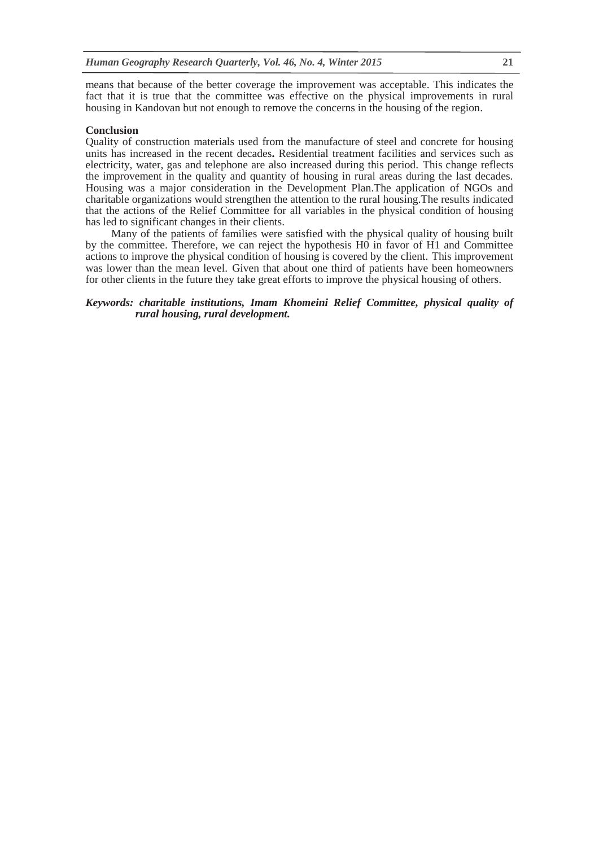means that because of the better coverage the improvement was acceptable. This indicates the fact that it is true that the committee was effective on the physical improvements in rural housing in Kandovan but not enough to remove the concerns in the housing of the region.

**Conclusion**<br>
Quality of construction materials used from the manufacture of steel and concrete for housing units has increased in the recent decades**.** Residential treatment facilities and services such as electricity, water, gas and telephone are also increased during this period. This change reflects the improvement in the quality and quantity of housing in rural areas during the last decades. Housing was a major consideration in the Development Plan.The application of NGOs and charitable organizations would strengthen the attention to the rural housing.The results indicated that the actions of the Relief Committee for all variables in the physical condition of housing has led to significant changes in their clients.

Many of the patients of families were satisfied with the physical quality of housing built by the committee. Therefore, we can reject the hypothesis H0 in favor of H1 and Committee actions to improve the physical condition of housing is covered by the client. This improvement was lower than the mean level. Given that about one third of patients have been homeowners for other clients in the future they take great efforts to improve the physical housing of others.

## *Keywords: charitable institutions, Imam Khomeini Relief Committee, physical quality of rural housing, rural development.*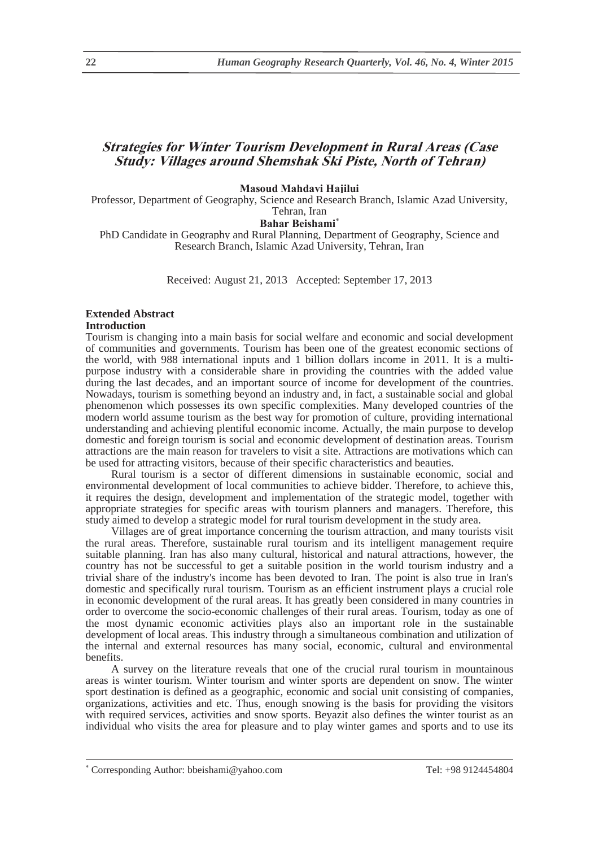# **Strategies for Winter Tourism Development in Rural Areas (Case Study: Villages around Shemshak Ski Piste, North of Tehran)**

#### **Masoud Mahdavi Hajilui**

Professor, Department of Geography, Science and Research Branch, Islamic Azad University, Tehran, Iran

# Bahar Beishami<sup>\*</sup>

PhD Candidate in Geography and Rural Planning, Department of Geography, Science and Research Branch, Islamic Azad University, Tehran, Iran

Received: August 21, 2013 Accepted: September 17, 2013

# **Extended Abstract**

# **Introduction**

Tourism is changing into a main basis for social welfare and economic and social development of communities and governments. Tourism has been one of the greatest economic sections of the world, with 988 international inputs and 1 billion dollars income in 2011. It is a multipurpose industry with a considerable share in providing the countries with the added value during the last decades, and an important source of income for development of the countries. Nowadays, tourism is something beyond an industry and, in fact, a sustainable social and global phenomenon which possesses its own specific complexities. Many developed countries of the modern world assume tourism as the best way for promotion of culture, providing international understanding and achieving plentiful economic income. Actually, the main purpose to develop domestic and foreign tourism is social and economic development of destination areas. Tourism attractions are the main reason for travelers to visit a site. Attractions are motivations which can be used for attracting visitors, because of their specific characteristics and beauties.

Rural tourism is a sector of different dimensions in sustainable economic, social and environmental development of local communities to achieve bidder. Therefore, to achieve this, it requires the design, development and implementation of the strategic model, together with appropriate strategies for specific areas with tourism planners and managers. Therefore, this study aimed to develop a strategic model for rural tourism development in the study area.

Villages are of great importance concerning the tourism attraction, and many tourists visit the rural areas. Therefore, sustainable rural tourism and its intelligent management require suitable planning. Iran has also many cultural, historical and natural attractions, however, the country has not be successful to get a suitable position in the world tourism industry and a trivial share of the industry's income has been devoted to Iran. The point is also true in Iran's domestic and specifically rural tourism. Tourism as an efficient instrument plays a crucial role in economic development of the rural areas. It has greatly been considered in many countries in order to overcome the socio-economic challenges of their rural areas. Tourism, today as one of the most dynamic economic activities plays also an important role in the sustainable development of local areas. This industry through a simultaneous combination and utilization of the internal and external resources has many social, economic, cultural and environmental benefits.

A survey on the literature reveals that one of the crucial rural tourism in mountainous areas is winter tourism. Winter tourism and winter sports are dependent on snow. The winter sport destination is defined as a geographic, economic and social unit consisting of companies, organizations, activities and etc. Thus, enough snowing is the basis for providing the visitors with required services, activities and snow sports. Beyazit also defines the winter tourist as an individual who visits the area for pleasure and to play winter games and sports and to use its

 $\overline{\phantom{a}}$ Corresponding Author: bbeishami@yahoo.com Tel: +98 9124454804